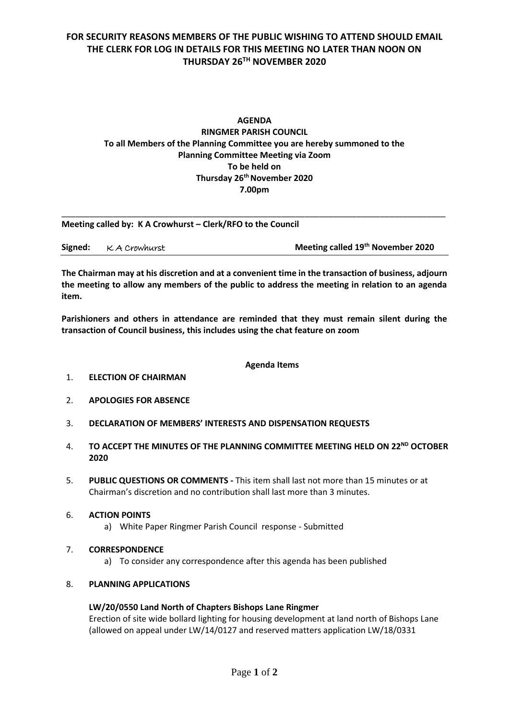# **FOR SECURITY REASONS MEMBERS OF THE PUBLIC WISHING TO ATTEND SHOULD EMAIL THE CLERK FOR LOG IN DETAILS FOR THIS MEETING NO LATER THAN NOON ON THURSDAY 26TH NOVEMBER 2020**

# **AGENDA RINGMER PARISH COUNCIL To all Members of the Planning Committee you are hereby summoned to the Planning Committee Meeting via Zoom To be held on Thursday 26 th November 2020 7.00pm**

| Meeting called by: K A Crowhurst - Clerk/RFO to the Council |  |
|-------------------------------------------------------------|--|
|                                                             |  |

| Meeting called 19th November 2020<br>Signed:<br>K A Crowhurst |  |
|---------------------------------------------------------------|--|
|---------------------------------------------------------------|--|

\_\_\_\_\_\_\_\_\_\_\_\_\_\_\_\_\_\_\_\_\_\_\_\_\_\_\_\_\_\_\_\_\_\_\_\_\_\_\_\_\_\_\_\_\_\_\_\_\_\_\_\_\_\_\_\_\_\_\_\_\_\_\_\_\_\_\_\_\_\_\_\_\_\_\_\_\_\_\_\_\_\_

**The Chairman may at his discretion and at a convenient time in the transaction of business, adjourn the meeting to allow any members of the public to address the meeting in relation to an agenda item.**

**Parishioners and others in attendance are reminded that they must remain silent during the transaction of Council business, this includes using the chat feature on zoom**

#### **Agenda Items**

- 1. **ELECTION OF CHAIRMAN**
- 2. **APOLOGIES FOR ABSENCE**
- 3. **DECLARATION OF MEMBERS' INTERESTS AND DISPENSATION REQUESTS**
- 4. **TO ACCEPT THE MINUTES OF THE PLANNING COMMITTEE MEETING HELD ON 22ND OCTOBER 2020**
- 5. **PUBLIC QUESTIONS OR COMMENTS -** This item shall last not more than 15 minutes or at Chairman's discretion and no contribution shall last more than 3 minutes.
- 6. **ACTION POINTS** 
	- a) White Paper Ringmer Parish Council response Submitted
- 7. **CORRESPONDENCE**
	- a) To consider any correspondence after this agenda has been published

#### 8. **PLANNING APPLICATIONS**

#### **LW/20/0550 Land North of Chapters Bishops Lane Ringmer**

Erection of site wide bollard lighting for housing development at land north of Bishops Lane (allowed on appeal under LW/14/0127 and reserved matters application LW/18/0331